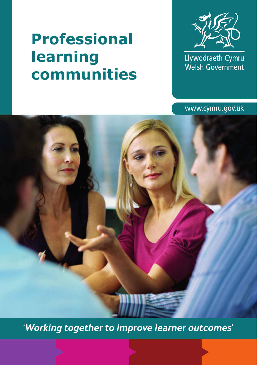# **Professional learning communities**



Llywodraeth Cymru<br>Welsh Government

www.cymru.gov.uk

*'Working together to improve learner outcomes'*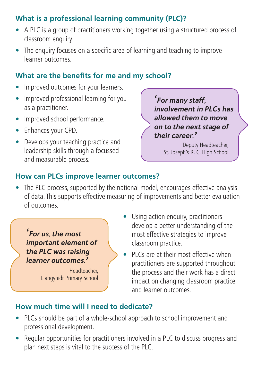## **What is a professional learning community (PLC)?**

- A PLC is a group of practitioners working together using a structured process of classroom enquiry.
- The enquiry focuses on a specific area of learning and teaching to improve learner outcomes.

#### **What are the benefits for me and my school?**

- Improved outcomes for your learners.
- Improved professional learning for you as a practitioner.
- Improved school performance.
- Enhances your CPD.
- Develops your teaching practice and leadership skills through a focussed and measurable process.

*'For many staff, involvement in PLCs has allowed them to move on to the next stage of their career.'* 

Deputy Headteacher, St. Joseph's R. C. High School

#### **How can PLCs improve learner outcomes?**

The PLC process, supported by the national model, encourages effective analysis of data. This supports effective measuring of improvements and better evaluation of outcomes.



Llangynidr Primary School

- Using action enquiry, practitioners develop a better understanding of the most effective strategies to improve classroom practice.
- PLCs are at their most effective when practitioners are supported throughout the process and their work has a direct impact on changing classroom practice and learner outcomes.

#### **How much time will I need to dedicate?**

- PLCs should be part of a whole-school approach to school improvement and professional development.
- Regular opportunities for practitioners involved in a PLC to discuss progress and plan next steps is vital to the success of the PLC.